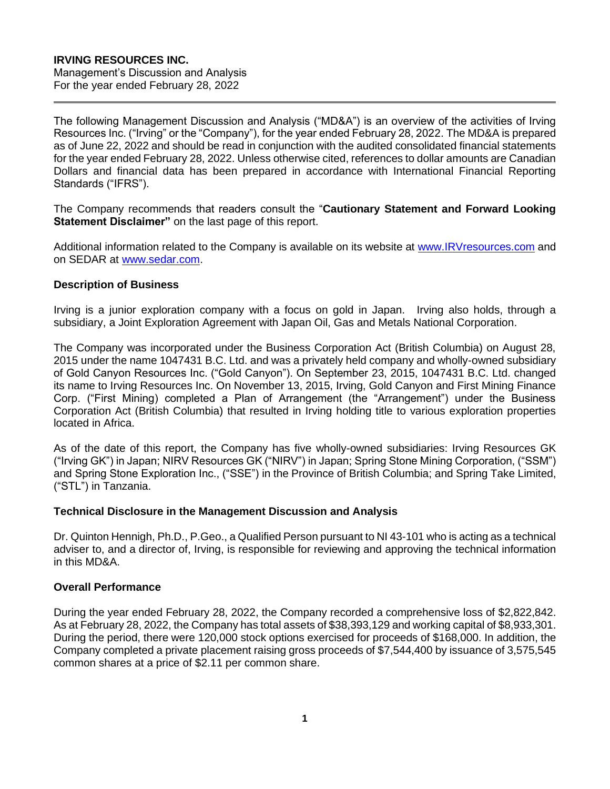## **IRVING RESOURCES INC.**

Management's Discussion and Analysis For the year ended February 28, 2022

The following Management Discussion and Analysis ("MD&A") is an overview of the activities of Irving Resources Inc. ("Irving" or the "Company"), for the year ended February 28, 2022. The MD&A is prepared as of June 22, 2022 and should be read in conjunction with the audited consolidated financial statements for the year ended February 28, 2022. Unless otherwise cited, references to dollar amounts are Canadian Dollars and financial data has been prepared in accordance with International Financial Reporting Standards ("IFRS").

The Company recommends that readers consult the "**Cautionary Statement and Forward Looking Statement Disclaimer"** on the last page of this report.

Additional information related to the Company is available on its website at [www.IRVresources.com](http://www.irvresources.com/) and on SEDAR at [www.sedar.com.](http://www.sedar.com/)

## **Description of Business**

Irving is a junior exploration company with a focus on gold in Japan. Irving also holds, through a subsidiary, a Joint Exploration Agreement with Japan Oil, Gas and Metals National Corporation.

The Company was incorporated under the Business Corporation Act (British Columbia) on August 28, 2015 under the name 1047431 B.C. Ltd. and was a privately held company and wholly-owned subsidiary of Gold Canyon Resources Inc. ("Gold Canyon"). On September 23, 2015, 1047431 B.C. Ltd. changed its name to Irving Resources Inc. On November 13, 2015, Irving, Gold Canyon and First Mining Finance Corp. ("First Mining) completed a Plan of Arrangement (the "Arrangement") under the Business Corporation Act (British Columbia) that resulted in Irving holding title to various exploration properties located in Africa.

As of the date of this report, the Company has five wholly-owned subsidiaries: Irving Resources GK ("Irving GK") in Japan; NIRV Resources GK ("NIRV") in Japan; Spring Stone Mining Corporation, ("SSM") and Spring Stone Exploration Inc., ("SSE") in the Province of British Columbia; and Spring Take Limited, ("STL") in Tanzania.

## **Technical Disclosure in the Management Discussion and Analysis**

Dr. Quinton Hennigh, Ph.D., P.Geo., a Qualified Person pursuant to NI 43-101 who is acting as a technical adviser to, and a director of, Irving, is responsible for reviewing and approving the technical information in this MD&A.

## **Overall Performance**

During the year ended February 28, 2022, the Company recorded a comprehensive loss of \$2,822,842. As at February 28, 2022, the Company has total assets of \$38,393,129 and working capital of \$8,933,301. During the period, there were 120,000 stock options exercised for proceeds of \$168,000. In addition, the Company completed a private placement raising gross proceeds of \$7,544,400 by issuance of 3,575,545 common shares at a price of \$2.11 per common share.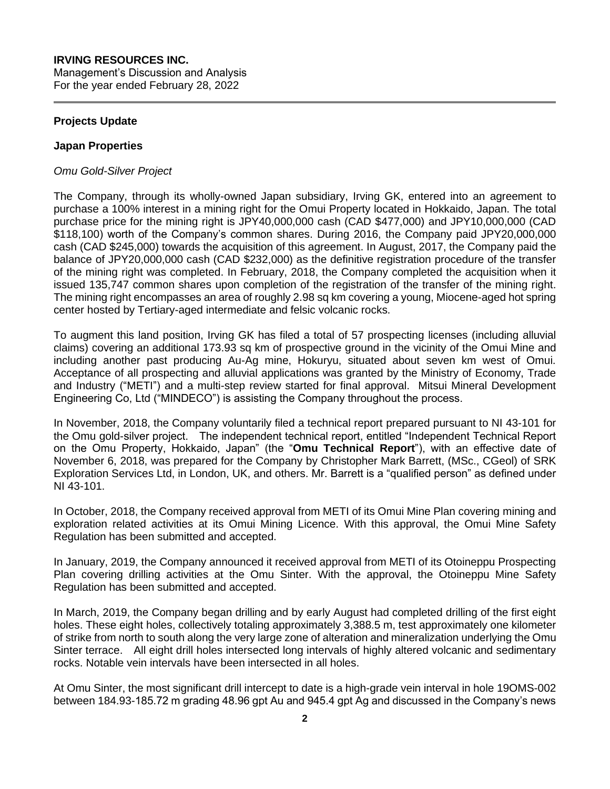## **IRVING RESOURCES INC.**

Management's Discussion and Analysis For the year ended February 28, 2022

## **Projects Update**

#### **Japan Properties**

#### *Omu Gold-Silver Project*

The Company, through its wholly-owned Japan subsidiary, Irving GK, entered into an agreement to purchase a 100% interest in a mining right for the Omui Property located in Hokkaido, Japan. The total purchase price for the mining right is JPY40,000,000 cash (CAD \$477,000) and JPY10,000,000 (CAD \$118,100) worth of the Company's common shares. During 2016, the Company paid JPY20,000,000 cash (CAD \$245,000) towards the acquisition of this agreement. In August, 2017, the Company paid the balance of JPY20,000,000 cash (CAD \$232,000) as the definitive registration procedure of the transfer of the mining right was completed. In February, 2018, the Company completed the acquisition when it issued 135,747 common shares upon completion of the registration of the transfer of the mining right. The mining right encompasses an area of roughly 2.98 sq km covering a young, Miocene-aged hot spring center hosted by Tertiary-aged intermediate and felsic volcanic rocks.

To augment this land position, Irving GK has filed a total of 57 prospecting licenses (including alluvial claims) covering an additional 173.93 sq km of prospective ground in the vicinity of the Omui Mine and including another past producing Au-Ag mine, Hokuryu, situated about seven km west of Omui. Acceptance of all prospecting and alluvial applications was granted by the Ministry of Economy, Trade and Industry ("METI") and a multi-step review started for final approval. Mitsui Mineral Development Engineering Co, Ltd ("MINDECO") is assisting the Company throughout the process.

In November, 2018, the Company voluntarily filed a technical report prepared pursuant to NI 43-101 for the Omu gold-silver project. The independent technical report, entitled "Independent Technical Report on the Omu Property, Hokkaido, Japan" (the "**Omu Technical Report**"), with an effective date of November 6, 2018, was prepared for the Company by Christopher Mark Barrett, (MSc., CGeol) of SRK Exploration Services Ltd, in London, UK, and others. Mr. Barrett is a "qualified person" as defined under NI 43-101.

In October, 2018, the Company received approval from METI of its Omui Mine Plan covering mining and exploration related activities at its Omui Mining Licence. With this approval, the Omui Mine Safety Regulation has been submitted and accepted.

In January, 2019, the Company announced it received approval from METI of its Otoineppu Prospecting Plan covering drilling activities at the Omu Sinter. With the approval, the Otoineppu Mine Safety Regulation has been submitted and accepted.

In March, 2019, the Company began drilling and by early August had completed drilling of the first eight holes. These eight holes, collectively totaling approximately 3,388.5 m, test approximately one kilometer of strike from north to south along the very large zone of alteration and mineralization underlying the Omu Sinter terrace. All eight drill holes intersected long intervals of highly altered volcanic and sedimentary rocks. Notable vein intervals have been intersected in all holes.

At Omu Sinter, the most significant drill intercept to date is a high-grade vein interval in hole 19OMS-002 between 184.93-185.72 m grading 48.96 gpt Au and 945.4 gpt Ag and discussed in the Company's news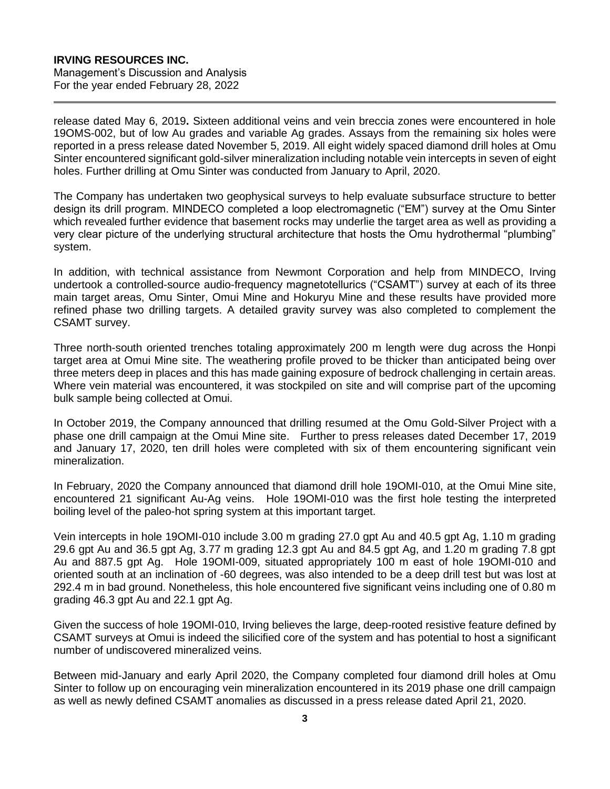#### **IRVING RESOURCES INC.** Management's Discussion and Analysis

For the year ended February 28, 2022

release dated May 6, 2019**.** Sixteen additional veins and vein breccia zones were encountered in hole 19OMS-002, but of low Au grades and variable Ag grades. Assays from the remaining six holes were reported in a press release dated November 5, 2019. All eight widely spaced diamond drill holes at Omu Sinter encountered significant gold-silver mineralization including notable vein intercepts in seven of eight holes. Further drilling at Omu Sinter was conducted from January to April, 2020.

The Company has undertaken two geophysical surveys to help evaluate subsurface structure to better design its drill program. MINDECO completed a loop electromagnetic ("EM") survey at the Omu Sinter which revealed further evidence that basement rocks may underlie the target area as well as providing a very clear picture of the underlying structural architecture that hosts the Omu hydrothermal "plumbing" system.

In addition, with technical assistance from Newmont Corporation and help from MINDECO, Irving undertook a controlled-source audio-frequency magnetotellurics ("CSAMT") survey at each of its three main target areas, Omu Sinter, Omui Mine and Hokuryu Mine and these results have provided more refined phase two drilling targets. A detailed gravity survey was also completed to complement the CSAMT survey.

Three north-south oriented trenches totaling approximately 200 m length were dug across the Honpi target area at Omui Mine site. The weathering profile proved to be thicker than anticipated being over three meters deep in places and this has made gaining exposure of bedrock challenging in certain areas. Where vein material was encountered, it was stockpiled on site and will comprise part of the upcoming bulk sample being collected at Omui.

In October 2019, the Company announced that drilling resumed at the Omu Gold-Silver Project with a phase one drill campaign at the Omui Mine site. Further to press releases dated December 17, 2019 and January 17, 2020, ten drill holes were completed with six of them encountering significant vein mineralization.

In February, 2020 the Company announced that diamond drill hole 19OMI-010, at the Omui Mine site, encountered 21 significant Au-Ag veins. Hole 19OMI-010 was the first hole testing the interpreted boiling level of the paleo-hot spring system at this important target.

Vein intercepts in hole 19OMI-010 include 3.00 m grading 27.0 gpt Au and 40.5 gpt Ag, 1.10 m grading 29.6 gpt Au and 36.5 gpt Ag, 3.77 m grading 12.3 gpt Au and 84.5 gpt Ag, and 1.20 m grading 7.8 gpt Au and 887.5 gpt Ag. Hole 19OMI-009, situated appropriately 100 m east of hole 19OMI-010 and oriented south at an inclination of -60 degrees, was also intended to be a deep drill test but was lost at 292.4 m in bad ground. Nonetheless, this hole encountered five significant veins including one of 0.80 m grading 46.3 gpt Au and 22.1 gpt Ag.

Given the success of hole 19OMI-010, Irving believes the large, deep-rooted resistive feature defined by CSAMT surveys at Omui is indeed the silicified core of the system and has potential to host a significant number of undiscovered mineralized veins.

Between mid-January and early April 2020, the Company completed four diamond drill holes at Omu Sinter to follow up on encouraging vein mineralization encountered in its 2019 phase one drill campaign as well as newly defined CSAMT anomalies as discussed in a press release dated April 21, 2020.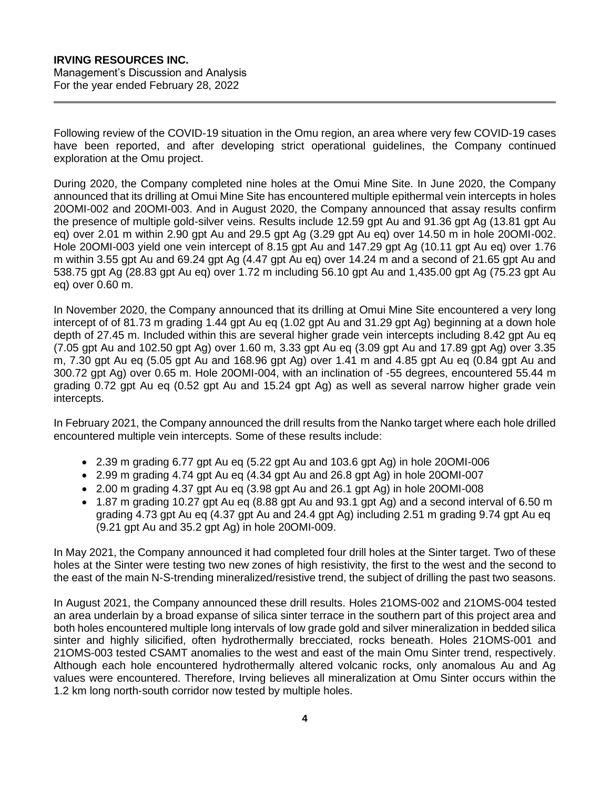Following review of the COVID-19 situation in the Omu region, an area where very few COVID-19 cases have been reported, and after developing strict operational guidelines, the Company continued exploration at the Omu project.

During 2020, the Company completed nine holes at the Omui Mine Site. In June 2020, the Company announced that its drilling at Omui Mine Site has encountered multiple epithermal vein intercepts in holes 20OMI-002 and 20OMI-003. And in August 2020, the Company announced that assay results confirm the presence of multiple gold-silver veins. Results include 12.59 gpt Au and 91.36 gpt Ag (13.81 gpt Au eq) over 2.01 m within 2.90 gpt Au and 29.5 gpt Ag (3.29 gpt Au eq) over 14.50 m in hole 20OMI-002. Hole 20OMI-003 yield one vein intercept of 8.15 gpt Au and 147.29 gpt Ag (10.11 gpt Au eq) over 1.76 m within 3.55 gpt Au and 69.24 gpt Ag (4.47 gpt Au eq) over 14.24 m and a second of 21.65 gpt Au and 538.75 gpt Ag (28.83 gpt Au eq) over 1.72 m including 56.10 gpt Au and 1,435.00 gpt Ag (75.23 gpt Au eq) over 0.60 m.

In November 2020, the Company announced that its drilling at Omui Mine Site encountered a very long intercept of of 81.73 m grading 1.44 gpt Au eq (1.02 gpt Au and 31.29 gpt Ag) beginning at a down hole depth of 27.45 m. Included within this are several higher grade vein intercepts including 8.42 gpt Au eq (7.05 gpt Au and 102.50 gpt Ag) over 1.60 m, 3.33 gpt Au eq (3.09 gpt Au and 17.89 gpt Ag) over 3.35 m, 7.30 gpt Au eq (5.05 gpt Au and 168.96 gpt Ag) over 1.41 m and 4.85 gpt Au eq (0.84 gpt Au and 300.72 gpt Ag) over 0.65 m. Hole 20OMI-004, with an inclination of -55 degrees, encountered 55.44 m grading 0.72 gpt Au eq (0.52 gpt Au and 15.24 gpt Ag) as well as several narrow higher grade vein intercepts.

In February 2021, the Company announced the drill results from the Nanko target where each hole drilled encountered multiple vein intercepts. Some of these results include:

- $\bullet$  2.39 m grading 6.77 gpt Au eq (5.22 gpt Au and 103.6 gpt Ag) in hole 200MI-006
- 2.99 m grading 4.74 gpt Au eq (4.34 gpt Au and 26.8 gpt Ag) in hole 20OMI-007
- 2.00 m grading 4.37 gpt Au eq (3.98 gpt Au and 26.1 gpt Ag) in hole 20OMI-008
- 1.87 m grading 10.27 gpt Au eq (8.88 gpt Au and 93.1 gpt Ag) and a second interval of 6.50 m grading 4.73 gpt Au eq (4.37 gpt Au and 24.4 gpt Ag) including 2.51 m grading 9.74 gpt Au eq (9.21 gpt Au and 35.2 gpt Ag) in hole 20OMI-009.

In May 2021, the Company announced it had completed four drill holes at the Sinter target. Two of these holes at the Sinter were testing two new zones of high resistivity, the first to the west and the second to the east of the main N-S-trending mineralized/resistive trend, the subject of drilling the past two seasons.

In August 2021, the Company announced these drill results. Holes 21OMS-002 and 21OMS-004 tested an area underlain by a broad expanse of silica sinter terrace in the southern part of this project area and both holes encountered multiple long intervals of low grade gold and silver mineralization in bedded silica sinter and highly silicified, often hydrothermally brecciated, rocks beneath. Holes 21OMS-001 and 21OMS-003 tested CSAMT anomalies to the west and east of the main Omu Sinter trend, respectively. Although each hole encountered hydrothermally altered volcanic rocks, only anomalous Au and Ag values were encountered. Therefore, Irving believes all mineralization at Omu Sinter occurs within the 1.2 km long north-south corridor now tested by multiple holes.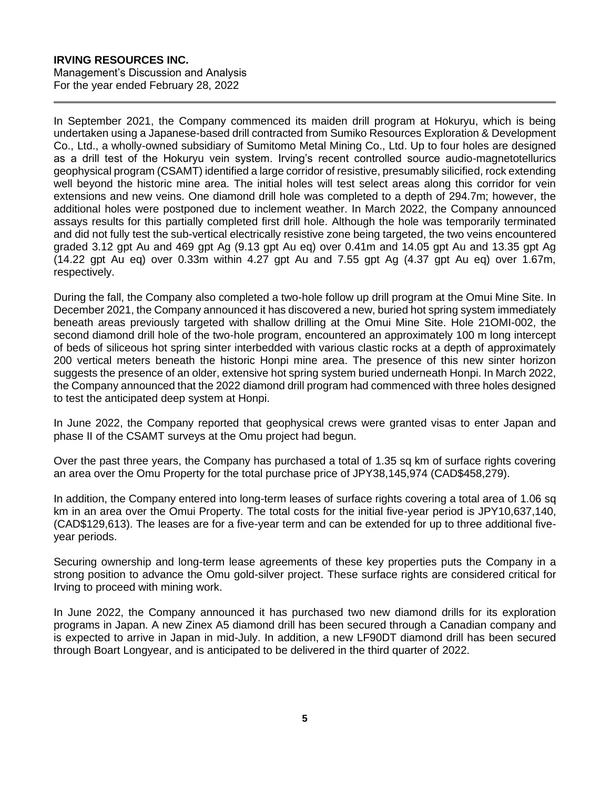In September 2021, the Company commenced its maiden drill program at Hokuryu, which is being undertaken using a Japanese-based drill contracted from Sumiko Resources Exploration & Development Co., Ltd., a wholly-owned subsidiary of Sumitomo Metal Mining Co., Ltd. Up to four holes are designed as a drill test of the Hokuryu vein system. Irving's recent controlled source audio-magnetotellurics geophysical program (CSAMT) identified a large corridor of resistive, presumably silicified, rock extending well beyond the historic mine area. The initial holes will test select areas along this corridor for vein extensions and new veins. One diamond drill hole was completed to a depth of 294.7m; however, the additional holes were postponed due to inclement weather. In March 2022, the Company announced assays results for this partially completed first drill hole. Although the hole was temporarily terminated and did not fully test the sub-vertical electrically resistive zone being targeted, the two veins encountered graded 3.12 gpt Au and 469 gpt Ag (9.13 gpt Au eq) over 0.41m and 14.05 gpt Au and 13.35 gpt Ag (14.22 gpt Au eq) over 0.33m within 4.27 gpt Au and 7.55 gpt Ag (4.37 gpt Au eq) over 1.67m, respectively.

During the fall, the Company also completed a two-hole follow up drill program at the Omui Mine Site. In December 2021, the Company announced it has discovered a new, buried hot spring system immediately beneath areas previously targeted with shallow drilling at the Omui Mine Site. Hole 21OMI-002, the second diamond drill hole of the two-hole program, encountered an approximately 100 m long intercept of beds of siliceous hot spring sinter interbedded with various clastic rocks at a depth of approximately 200 vertical meters beneath the historic Honpi mine area. The presence of this new sinter horizon suggests the presence of an older, extensive hot spring system buried underneath Honpi. In March 2022, the Company announced that the 2022 diamond drill program had commenced with three holes designed to test the anticipated deep system at Honpi.

In June 2022, the Company reported that geophysical crews were granted visas to enter Japan and phase II of the CSAMT surveys at the Omu project had begun.

Over the past three years, the Company has purchased a total of 1.35 sq km of surface rights covering an area over the Omu Property for the total purchase price of JPY38,145,974 (CAD\$458,279).

In addition, the Company entered into long-term leases of surface rights covering a total area of 1.06 sq km in an area over the Omui Property. The total costs for the initial five-year period is JPY10,637,140, (CAD\$129,613). The leases are for a five-year term and can be extended for up to three additional fiveyear periods.

Securing ownership and long-term lease agreements of these key properties puts the Company in a strong position to advance the Omu gold-silver project. These surface rights are considered critical for Irving to proceed with mining work.

In June 2022, the Company announced it has purchased two new diamond drills for its exploration programs in Japan. A new Zinex A5 diamond drill has been secured through a Canadian company and is expected to arrive in Japan in mid-July. In addition, a new LF90DT diamond drill has been secured through Boart Longyear, and is anticipated to be delivered in the third quarter of 2022.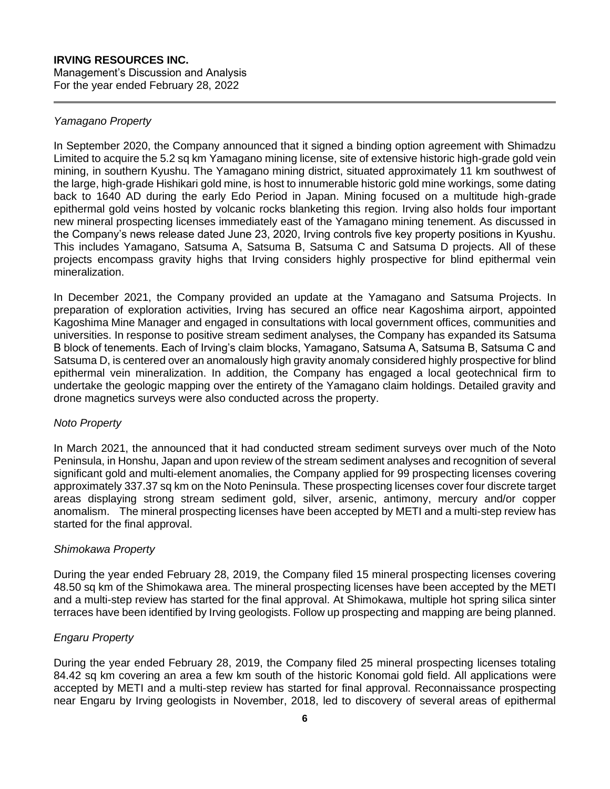## *Yamagano Property*

In September 2020, the Company announced that it signed a binding option agreement with Shimadzu Limited to acquire the 5.2 sq km Yamagano mining license, site of extensive historic high-grade gold vein mining, in southern Kyushu. The Yamagano mining district, situated approximately 11 km southwest of the large, high-grade Hishikari gold mine, is host to innumerable historic gold mine workings, some dating back to 1640 AD during the early Edo Period in Japan. Mining focused on a multitude high-grade epithermal gold veins hosted by volcanic rocks blanketing this region. Irving also holds four important new mineral prospecting licenses immediately east of the Yamagano mining tenement. As discussed in the Company's news release dated June 23, 2020, Irving controls five key property positions in Kyushu. This includes Yamagano, Satsuma A, Satsuma B, Satsuma C and Satsuma D projects. All of these projects encompass gravity highs that Irving considers highly prospective for blind epithermal vein mineralization.

In December 2021, the Company provided an update at the Yamagano and Satsuma Projects. In preparation of exploration activities, Irving has secured an office near Kagoshima airport, appointed Kagoshima Mine Manager and engaged in consultations with local government offices, communities and universities. In response to positive stream sediment analyses, the Company has expanded its Satsuma B block of tenements. Each of Irving's claim blocks, Yamagano, Satsuma A, Satsuma B, Satsuma C and Satsuma D, is centered over an anomalously high gravity anomaly considered highly prospective for blind epithermal vein mineralization. In addition, the Company has engaged a local geotechnical firm to undertake the geologic mapping over the entirety of the Yamagano claim holdings. Detailed gravity and drone magnetics surveys were also conducted across the property.

#### *Noto Property*

In March 2021, the announced that it had conducted stream sediment surveys over much of the Noto Peninsula, in Honshu, Japan and upon review of the stream sediment analyses and recognition of several significant gold and multi-element anomalies, the Company applied for 99 prospecting licenses covering approximately 337.37 sq km on the Noto Peninsula. These prospecting licenses cover four discrete target areas displaying strong stream sediment gold, silver, arsenic, antimony, mercury and/or copper anomalism. The mineral prospecting licenses have been accepted by METI and a multi-step review has started for the final approval.

#### *Shimokawa Property*

During the year ended February 28, 2019, the Company filed 15 mineral prospecting licenses covering 48.50 sq km of the Shimokawa area. The mineral prospecting licenses have been accepted by the METI and a multi-step review has started for the final approval. At Shimokawa, multiple hot spring silica sinter terraces have been identified by Irving geologists. Follow up prospecting and mapping are being planned.

## *Engaru Property*

During the year ended February 28, 2019, the Company filed 25 mineral prospecting licenses totaling 84.42 sq km covering an area a few km south of the historic Konomai gold field. All applications were accepted by METI and a multi-step review has started for final approval. Reconnaissance prospecting near Engaru by Irving geologists in November, 2018, led to discovery of several areas of epithermal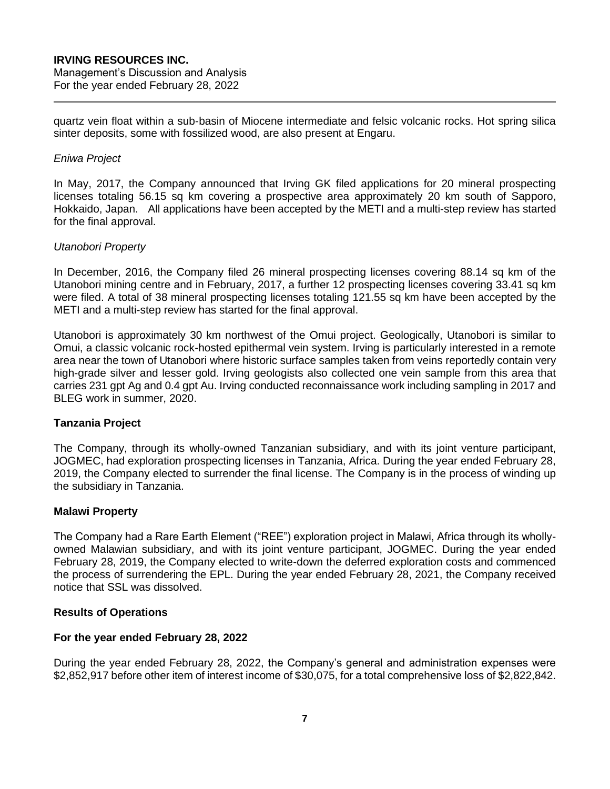quartz vein float within a sub-basin of Miocene intermediate and felsic volcanic rocks. Hot spring silica sinter deposits, some with fossilized wood, are also present at Engaru.

## *Eniwa Project*

In May, 2017, the Company announced that Irving GK filed applications for 20 mineral prospecting licenses totaling 56.15 sq km covering a prospective area approximately 20 km south of Sapporo, Hokkaido, Japan. All applications have been accepted by the METI and a multi-step review has started for the final approval.

## *Utanobori Property*

In December, 2016, the Company filed 26 mineral prospecting licenses covering 88.14 sq km of the Utanobori mining centre and in February, 2017, a further 12 prospecting licenses covering 33.41 sq km were filed. A total of 38 mineral prospecting licenses totaling 121.55 sq km have been accepted by the METI and a multi-step review has started for the final approval.

Utanobori is approximately 30 km northwest of the Omui project. Geologically, Utanobori is similar to Omui, a classic volcanic rock-hosted epithermal vein system. Irving is particularly interested in a remote area near the town of Utanobori where historic surface samples taken from veins reportedly contain very high-grade silver and lesser gold. Irving geologists also collected one vein sample from this area that carries 231 gpt Ag and 0.4 gpt Au. Irving conducted reconnaissance work including sampling in 2017 and BLEG work in summer, 2020.

#### **Tanzania Project**

The Company, through its wholly-owned Tanzanian subsidiary, and with its joint venture participant, JOGMEC, had exploration prospecting licenses in Tanzania, Africa. During the year ended February 28, 2019, the Company elected to surrender the final license. The Company is in the process of winding up the subsidiary in Tanzania.

#### **Malawi Property**

The Company had a Rare Earth Element ("REE") exploration project in Malawi, Africa through its whollyowned Malawian subsidiary, and with its joint venture participant, JOGMEC. During the year ended February 28, 2019, the Company elected to write-down the deferred exploration costs and commenced the process of surrendering the EPL. During the year ended February 28, 2021, the Company received notice that SSL was dissolved.

#### **Results of Operations**

### **For the year ended February 28, 2022**

During the year ended February 28, 2022, the Company's general and administration expenses were \$2,852,917 before other item of interest income of \$30,075, for a total comprehensive loss of \$2,822,842.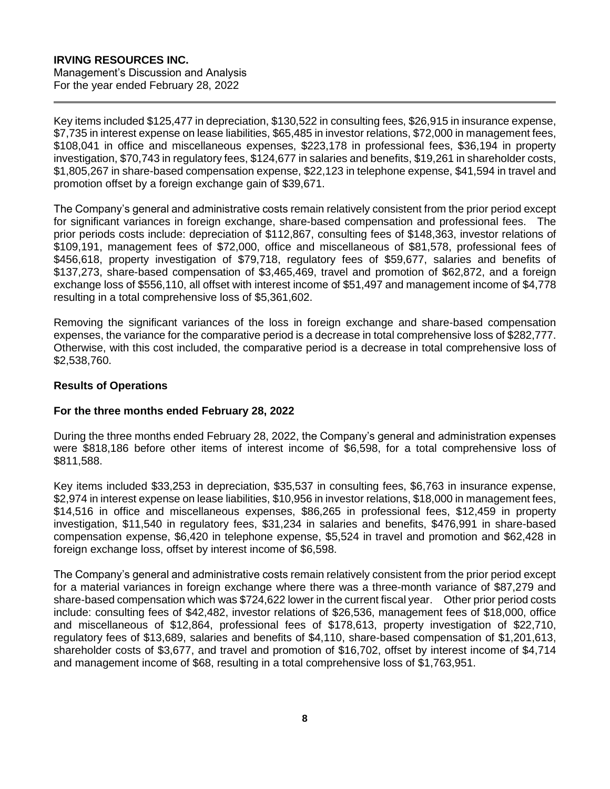# **IRVING RESOURCES INC.**

Management's Discussion and Analysis For the year ended February 28, 2022

Key items included \$125,477 in depreciation, \$130,522 in consulting fees, \$26,915 in insurance expense, \$7,735 in interest expense on lease liabilities, \$65,485 in investor relations, \$72,000 in management fees, \$108,041 in office and miscellaneous expenses, \$223,178 in professional fees, \$36,194 in property investigation, \$70,743 in regulatory fees, \$124,677 in salaries and benefits, \$19,261 in shareholder costs, \$1,805,267 in share-based compensation expense, \$22,123 in telephone expense, \$41,594 in travel and promotion offset by a foreign exchange gain of \$39,671.

The Company's general and administrative costs remain relatively consistent from the prior period except for significant variances in foreign exchange, share-based compensation and professional fees. The prior periods costs include: depreciation of \$112,867, consulting fees of \$148,363, investor relations of \$109,191, management fees of \$72,000, office and miscellaneous of \$81,578, professional fees of \$456,618, property investigation of \$79,718, regulatory fees of \$59,677, salaries and benefits of \$137,273, share-based compensation of \$3,465,469, travel and promotion of \$62,872, and a foreign exchange loss of \$556,110, all offset with interest income of \$51,497 and management income of \$4,778 resulting in a total comprehensive loss of \$5,361,602.

Removing the significant variances of the loss in foreign exchange and share-based compensation expenses, the variance for the comparative period is a decrease in total comprehensive loss of \$282,777. Otherwise, with this cost included, the comparative period is a decrease in total comprehensive loss of \$2,538,760.

## **Results of Operations**

#### **For the three months ended February 28, 2022**

During the three months ended February 28, 2022, the Company's general and administration expenses were \$818,186 before other items of interest income of \$6,598, for a total comprehensive loss of \$811,588.

Key items included \$33,253 in depreciation, \$35,537 in consulting fees, \$6,763 in insurance expense, \$2,974 in interest expense on lease liabilities, \$10,956 in investor relations, \$18,000 in management fees, \$14,516 in office and miscellaneous expenses, \$86,265 in professional fees, \$12,459 in property investigation, \$11,540 in regulatory fees, \$31,234 in salaries and benefits, \$476,991 in share-based compensation expense, \$6,420 in telephone expense, \$5,524 in travel and promotion and \$62,428 in foreign exchange loss, offset by interest income of \$6,598.

The Company's general and administrative costs remain relatively consistent from the prior period except for a material variances in foreign exchange where there was a three-month variance of \$87,279 and share-based compensation which was \$724,622 lower in the current fiscal year. Other prior period costs include: consulting fees of \$42,482, investor relations of \$26,536, management fees of \$18,000, office and miscellaneous of \$12,864, professional fees of \$178,613, property investigation of \$22,710, regulatory fees of \$13,689, salaries and benefits of \$4,110, share-based compensation of \$1,201,613, shareholder costs of \$3,677, and travel and promotion of \$16,702, offset by interest income of \$4,714 and management income of \$68, resulting in a total comprehensive loss of \$1,763,951.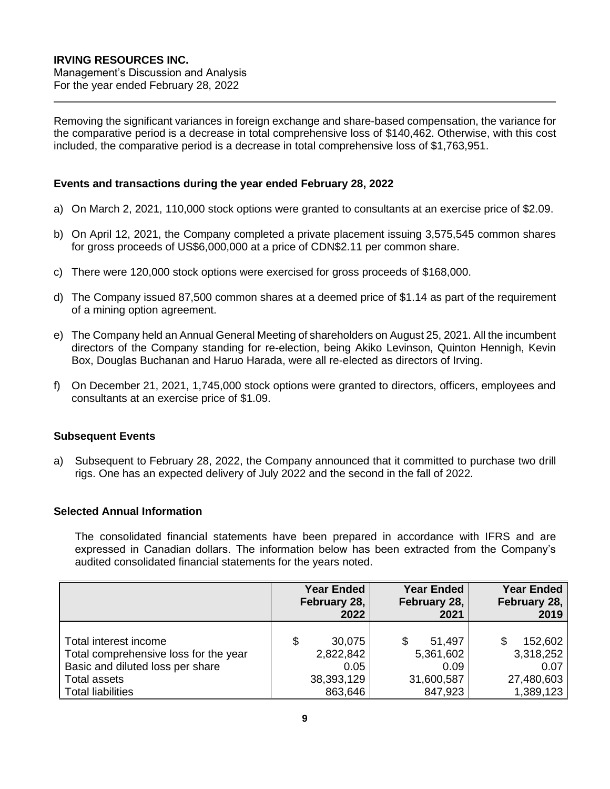Removing the significant variances in foreign exchange and share-based compensation, the variance for the comparative period is a decrease in total comprehensive loss of \$140,462. Otherwise, with this cost included, the comparative period is a decrease in total comprehensive loss of \$1,763,951.

## **Events and transactions during the year ended February 28, 2022**

- a) On March 2, 2021, 110,000 stock options were granted to consultants at an exercise price of \$2.09.
- b) On April 12, 2021, the Company completed a private placement issuing 3,575,545 common shares for gross proceeds of US\$6,000,000 at a price of CDN\$2.11 per common share.
- c) There were 120,000 stock options were exercised for gross proceeds of \$168,000.
- d) The Company issued 87,500 common shares at a deemed price of \$1.14 as part of the requirement of a mining option agreement.
- e) The Company held an Annual General Meeting of shareholders on August 25, 2021. All the incumbent directors of the Company standing for re-election, being Akiko Levinson, Quinton Hennigh, Kevin Box, Douglas Buchanan and Haruo Harada, were all re-elected as directors of Irving.
- f) On December 21, 2021, 1,745,000 stock options were granted to directors, officers, employees and consultants at an exercise price of \$1.09.

#### **Subsequent Events**

a) Subsequent to February 28, 2022, the Company announced that it committed to purchase two drill rigs. One has an expected delivery of July 2022 and the second in the fall of 2022.

## **Selected Annual Information**

The consolidated financial statements have been prepared in accordance with IFRS and are expressed in Canadian dollars. The information below has been extracted from the Company's audited consolidated financial statements for the years noted.

|                                                                                                                           | <b>Year Ended</b><br>February 28,<br>2022       | <b>Year Ended</b><br>February 28,<br>2021 | <b>Year Ended</b><br>February 28,<br>2019  |
|---------------------------------------------------------------------------------------------------------------------------|-------------------------------------------------|-------------------------------------------|--------------------------------------------|
| Total interest income<br>Total comprehensive loss for the year<br>Basic and diluted loss per share<br><b>Total assets</b> | \$<br>30,075<br>2,822,842<br>0.05<br>38,393,129 | 51,497<br>5,361,602<br>0.09<br>31,600,587 | 152,602<br>3,318,252<br>0.07<br>27,480,603 |
| <b>Total liabilities</b>                                                                                                  | 863,646                                         | 847,923                                   | 1,389,123                                  |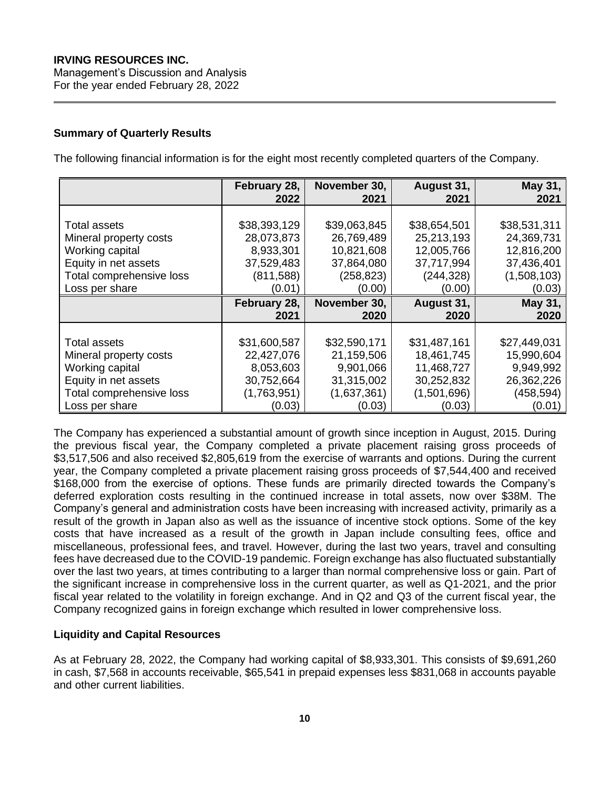## **Summary of Quarterly Results**

The following financial information is for the eight most recently completed quarters of the Company.

|                          | February 28,<br>2022 | November 30,<br>2021 | August 31,<br>2021 | May 31,<br>2021 |
|--------------------------|----------------------|----------------------|--------------------|-----------------|
|                          |                      |                      |                    |                 |
|                          |                      |                      |                    |                 |
| <b>Total assets</b>      | \$38,393,129         | \$39,063,845         | \$38,654,501       | \$38,531,311    |
| Mineral property costs   | 28,073,873           | 26,769,489           | 25,213,193         | 24,369,731      |
| Working capital          | 8,933,301            | 10,821,608           | 12,005,766         | 12,816,200      |
| Equity in net assets     | 37,529,483           | 37,864,080           | 37,717,994         | 37,436,401      |
| Total comprehensive loss | (811, 588)           | (258, 823)           | (244, 328)         | (1,508,103)     |
| Loss per share           | (0.01)               | (0.00)               | (0.00)             | (0.03)          |
|                          | February 28,         | November 30,         | August 31,         | May 31,         |
|                          | 2021                 | 2020                 | 2020               | 2020            |
|                          |                      |                      |                    |                 |
| <b>Total assets</b>      | \$31,600,587         | \$32,590,171         | \$31,487,161       | \$27,449,031    |
| Mineral property costs   | 22,427,076           | 21,159,506           | 18,461,745         | 15,990,604      |
| Working capital          | 8,053,603            | 9,901,066            | 11,468,727         | 9,949,992       |
| Equity in net assets     | 30,752,664           | 31,315,002           | 30,252,832         | 26,362,226      |
| Total comprehensive loss | (1,763,951)          | (1,637,361)          | (1,501,696)        | (458, 594)      |
| Loss per share           | (0.03)               | (0.03)               | (0.03)             | (0.01)          |

The Company has experienced a substantial amount of growth since inception in August, 2015. During the previous fiscal year, the Company completed a private placement raising gross proceeds of \$3,517,506 and also received \$2,805,619 from the exercise of warrants and options. During the current year, the Company completed a private placement raising gross proceeds of \$7,544,400 and received \$168,000 from the exercise of options. These funds are primarily directed towards the Company's deferred exploration costs resulting in the continued increase in total assets, now over \$38M. The Company's general and administration costs have been increasing with increased activity, primarily as a result of the growth in Japan also as well as the issuance of incentive stock options. Some of the key costs that have increased as a result of the growth in Japan include consulting fees, office and miscellaneous, professional fees, and travel. However, during the last two years, travel and consulting fees have decreased due to the COVID-19 pandemic. Foreign exchange has also fluctuated substantially over the last two years, at times contributing to a larger than normal comprehensive loss or gain. Part of the significant increase in comprehensive loss in the current quarter, as well as Q1-2021, and the prior fiscal year related to the volatility in foreign exchange. And in Q2 and Q3 of the current fiscal year, the Company recognized gains in foreign exchange which resulted in lower comprehensive loss.

#### **Liquidity and Capital Resources**

As at February 28, 2022, the Company had working capital of \$8,933,301. This consists of \$9,691,260 in cash, \$7,568 in accounts receivable, \$65,541 in prepaid expenses less \$831,068 in accounts payable and other current liabilities.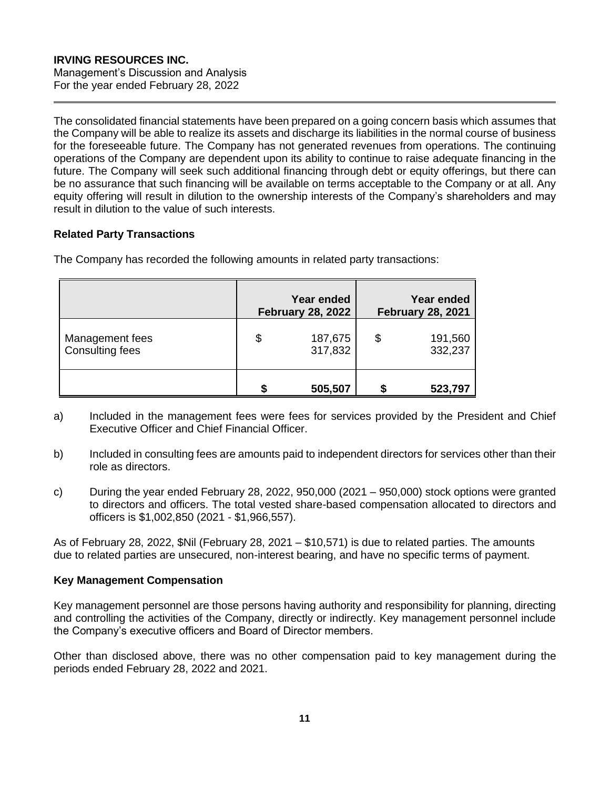The consolidated financial statements have been prepared on a going concern basis which assumes that the Company will be able to realize its assets and discharge its liabilities in the normal course of business for the foreseeable future. The Company has not generated revenues from operations. The continuing operations of the Company are dependent upon its ability to continue to raise adequate financing in the future. The Company will seek such additional financing through debt or equity offerings, but there can be no assurance that such financing will be available on terms acceptable to the Company or at all. Any equity offering will result in dilution to the ownership interests of the Company's shareholders and may result in dilution to the value of such interests.

## **Related Party Transactions**

The Company has recorded the following amounts in related party transactions:

|                                           |    | <b>Year ended</b><br><b>February 28, 2022</b> | <b>Year ended</b><br><b>February 28, 2021</b> |
|-------------------------------------------|----|-----------------------------------------------|-----------------------------------------------|
| Management fees<br><b>Consulting fees</b> | \$ | 187,675<br>317,832                            | \$<br>191,560<br>332,237                      |
|                                           | S  | 505,507                                       | 523,797                                       |

- a) Included in the management fees were fees for services provided by the President and Chief Executive Officer and Chief Financial Officer.
- b) Included in consulting fees are amounts paid to independent directors for services other than their role as directors.
- c) During the year ended February 28, 2022, 950,000 (2021 950,000) stock options were granted to directors and officers. The total vested share-based compensation allocated to directors and officers is \$1,002,850 (2021 - \$1,966,557).

As of February 28, 2022, \$Nil (February 28, 2021 – \$10,571) is due to related parties. The amounts due to related parties are unsecured, non-interest bearing, and have no specific terms of payment.

#### **Key Management Compensation**

Key management personnel are those persons having authority and responsibility for planning, directing and controlling the activities of the Company, directly or indirectly. Key management personnel include the Company's executive officers and Board of Director members.

Other than disclosed above, there was no other compensation paid to key management during the periods ended February 28, 2022 and 2021.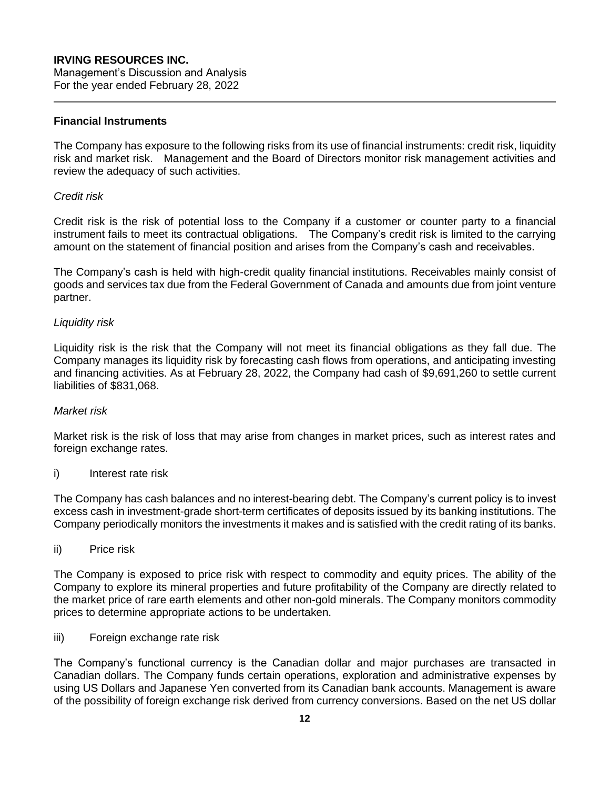### **Financial Instruments**

The Company has exposure to the following risks from its use of financial instruments: credit risk, liquidity risk and market risk. Management and the Board of Directors monitor risk management activities and review the adequacy of such activities.

#### *Credit risk*

Credit risk is the risk of potential loss to the Company if a customer or counter party to a financial instrument fails to meet its contractual obligations. The Company's credit risk is limited to the carrying amount on the statement of financial position and arises from the Company's cash and receivables.

The Company's cash is held with high-credit quality financial institutions. Receivables mainly consist of goods and services tax due from the Federal Government of Canada and amounts due from joint venture partner.

## *Liquidity risk*

Liquidity risk is the risk that the Company will not meet its financial obligations as they fall due. The Company manages its liquidity risk by forecasting cash flows from operations, and anticipating investing and financing activities. As at February 28, 2022, the Company had cash of \$9,691,260 to settle current liabilities of \$831,068.

#### *Market risk*

Market risk is the risk of loss that may arise from changes in market prices, such as interest rates and foreign exchange rates.

#### i) Interest rate risk

The Company has cash balances and no interest-bearing debt. The Company's current policy is to invest excess cash in investment-grade short-term certificates of deposits issued by its banking institutions. The Company periodically monitors the investments it makes and is satisfied with the credit rating of its banks.

#### ii) Price risk

The Company is exposed to price risk with respect to commodity and equity prices. The ability of the Company to explore its mineral properties and future profitability of the Company are directly related to the market price of rare earth elements and other non-gold minerals. The Company monitors commodity prices to determine appropriate actions to be undertaken.

iii) Foreign exchange rate risk

The Company's functional currency is the Canadian dollar and major purchases are transacted in Canadian dollars. The Company funds certain operations, exploration and administrative expenses by using US Dollars and Japanese Yen converted from its Canadian bank accounts. Management is aware of the possibility of foreign exchange risk derived from currency conversions. Based on the net US dollar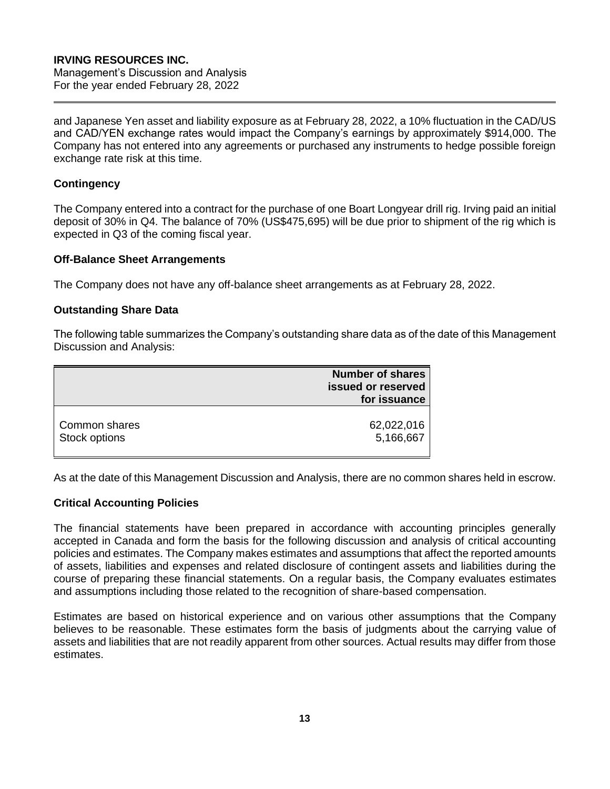and Japanese Yen asset and liability exposure as at February 28, 2022, a 10% fluctuation in the CAD/US and CAD/YEN exchange rates would impact the Company's earnings by approximately \$914,000. The Company has not entered into any agreements or purchased any instruments to hedge possible foreign exchange rate risk at this time.

## **Contingency**

The Company entered into a contract for the purchase of one Boart Longyear drill rig. Irving paid an initial deposit of 30% in Q4. The balance of 70% (US\$475,695) will be due prior to shipment of the rig which is expected in Q3 of the coming fiscal year.

## **Off-Balance Sheet Arrangements**

The Company does not have any off-balance sheet arrangements as at February 28, 2022.

## **Outstanding Share Data**

The following table summarizes the Company's outstanding share data as of the date of this Management Discussion and Analysis:

|               | <b>Number of shares</b><br>issued or reserved<br>for issuance |
|---------------|---------------------------------------------------------------|
| Common shares | 62,022,016                                                    |
| Stock options | 5,166,667                                                     |

As at the date of this Management Discussion and Analysis, there are no common shares held in escrow.

## **Critical Accounting Policies**

The financial statements have been prepared in accordance with accounting principles generally accepted in Canada and form the basis for the following discussion and analysis of critical accounting policies and estimates. The Company makes estimates and assumptions that affect the reported amounts of assets, liabilities and expenses and related disclosure of contingent assets and liabilities during the course of preparing these financial statements. On a regular basis, the Company evaluates estimates and assumptions including those related to the recognition of share-based compensation.

Estimates are based on historical experience and on various other assumptions that the Company believes to be reasonable. These estimates form the basis of judgments about the carrying value of assets and liabilities that are not readily apparent from other sources. Actual results may differ from those estimates.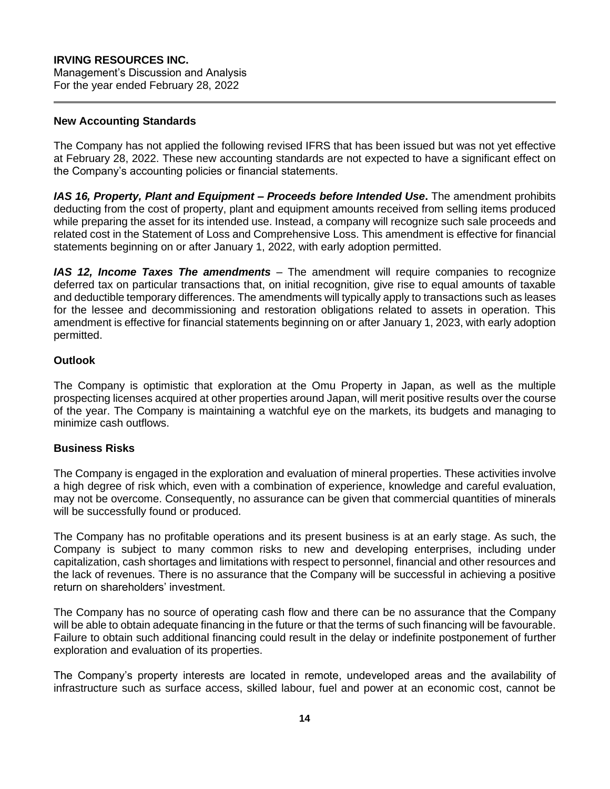## **IRVING RESOURCES INC.** Management's Discussion and Analysis

For the year ended February 28, 2022

## **New Accounting Standards**

The Company has not applied the following revised IFRS that has been issued but was not yet effective at February 28, 2022. These new accounting standards are not expected to have a significant effect on the Company's accounting policies or financial statements.

*IAS 16, Property, Plant and Equipment – Proceeds before Intended Use***.** The amendment prohibits deducting from the cost of property, plant and equipment amounts received from selling items produced while preparing the asset for its intended use. Instead, a company will recognize such sale proceeds and related cost in the Statement of Loss and Comprehensive Loss. This amendment is effective for financial statements beginning on or after January 1, 2022, with early adoption permitted.

*IAS 12, Income Taxes The amendments* – The amendment will require companies to recognize deferred tax on particular transactions that, on initial recognition, give rise to equal amounts of taxable and deductible temporary differences. The amendments will typically apply to transactions such as leases for the lessee and decommissioning and restoration obligations related to assets in operation. This amendment is effective for financial statements beginning on or after January 1, 2023, with early adoption permitted.

## **Outlook**

The Company is optimistic that exploration at the Omu Property in Japan, as well as the multiple prospecting licenses acquired at other properties around Japan, will merit positive results over the course of the year. The Company is maintaining a watchful eye on the markets, its budgets and managing to minimize cash outflows.

#### **Business Risks**

The Company is engaged in the exploration and evaluation of mineral properties. These activities involve a high degree of risk which, even with a combination of experience, knowledge and careful evaluation, may not be overcome. Consequently, no assurance can be given that commercial quantities of minerals will be successfully found or produced.

The Company has no profitable operations and its present business is at an early stage. As such, the Company is subject to many common risks to new and developing enterprises, including under capitalization, cash shortages and limitations with respect to personnel, financial and other resources and the lack of revenues. There is no assurance that the Company will be successful in achieving a positive return on shareholders' investment.

The Company has no source of operating cash flow and there can be no assurance that the Company will be able to obtain adequate financing in the future or that the terms of such financing will be favourable. Failure to obtain such additional financing could result in the delay or indefinite postponement of further exploration and evaluation of its properties.

The Company's property interests are located in remote, undeveloped areas and the availability of infrastructure such as surface access, skilled labour, fuel and power at an economic cost, cannot be